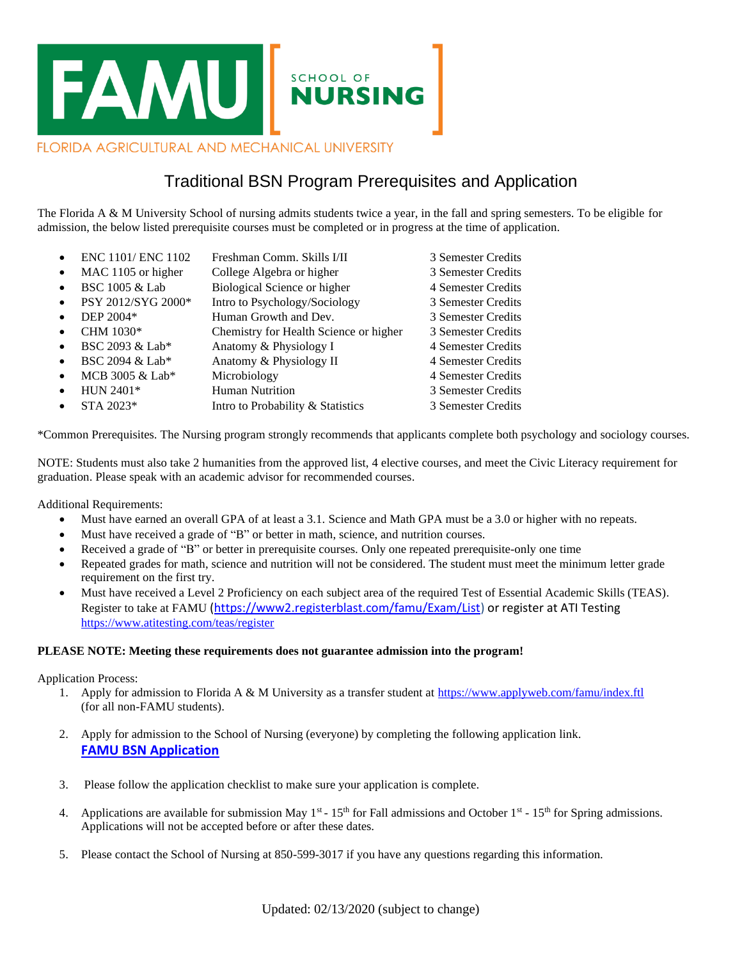

# Traditional BSN Program Prerequisites and Application

The Florida A & M University School of nursing admits students twice a year, in the fall and spring semesters. To be eligible for admission, the below listed prerequisite courses must be completed or in progress at the time of application.

• ENC 1101/ENC 1102 Freshman Comm. Skills I/II 3 Semester Credits • MAC 1105 or higher College Algebra or higher 3 Semester Credits • BSC 1005 & Lab Biological Science or higher 4 Semester Credits • PSY 2012/SYG 2000\* Intro to Psychology/Sociology 3 Semester Credits • DEP 2004\* Human Growth and Dev. 3 Semester Credits • CHM 1030\* Chemistry for Health Science or higher 3 Semester Credits BSC 2093 & Lab\* Anatomy & Physiology I 4 Semester Credits • BSC 2094 & Lab\* Anatomy & Physiology II 4 Semester Credits • MCB 3005 & Lab\* Microbiology 4 Semester Credits • HUN 2401\* Human Nutrition 3 Semester Credits • STA 2023\* Intro to Probability & Statistics 3 Semester Credits

\*Common Prerequisites. The Nursing program strongly recommends that applicants complete both psychology and sociology courses.

NOTE: Students must also take 2 humanities from the approved list, 4 elective courses, and meet the Civic Literacy requirement for graduation. Please speak with an academic advisor for recommended courses.

Additional Requirements:

- Must have earned an overall GPA of at least a 3.1. Science and Math GPA must be a 3.0 or higher with no repeats.
- Must have received a grade of "B" or better in math, science, and nutrition courses.
- Received a grade of "B" or better in prerequisite courses. Only one repeated prerequisite-only one time
- Repeated grades for math, science and nutrition will not be considered. The student must meet the minimum letter grade requirement on the first try.
- Must have received a Level 2 Proficiency on each subject area of the required Test of Essential Academic Skills (TEAS). Register to take at FAMU [\(https://www2.registerblast.com/famu/Exam/List\)](https://www2.registerblast.com/famu/Exam/List) or register at ATI Testing <https://www.atitesting.com/teas/register>

#### **PLEASE NOTE: Meeting these requirements does not guarantee admission into the program!**

Application Process:

- 1. Apply for admission to Florida A & M University as a transfer student at<https://www.applyweb.com/famu/index.ftl> (for all non-FAMU students).
- 2. Apply for admission to the School of Nursing (everyone) by completing the following application link. **FAMU BSN [Application](https://nam11.safelinks.protection.outlook.com/?url=http%3A%2F%2Ffamu.co1.qualtrics.com%2Fjfe%2Fform%2FSV_1X4J4PFpmhhG3T8&data=04%7C01%7C%7C649f640ee17347d0f95508d8f61fb8c8%7C2526db3cd5034dfea0e60c41a20b52d2%7C0%7C0%7C637529963396351843%7CUnknown%7CTWFpbGZsb3d8eyJWIjoiMC4wLjAwMDAiLCJQIjoiV2luMzIiLCJBTiI6Ik1haWwiLCJXVCI6Mn0%3D%7C1000&sdata=nzpVbNl8kZPuK4Xk6zhqTgUVFV8YOwi5xEbcMHGiRac%3D&reserved=0)**
- 3. Please follow the application checklist to make sure your application is complete.
- 4. Applications are available for submission May  $1^{st}$   $15^{th}$  for Fall admissions and October  $1^{st}$   $15^{th}$  for Spring admissions. Applications will not be accepted before or after these dates.
- 5. Please contact the School of Nursing at 850-599-3017 if you have any questions regarding this information.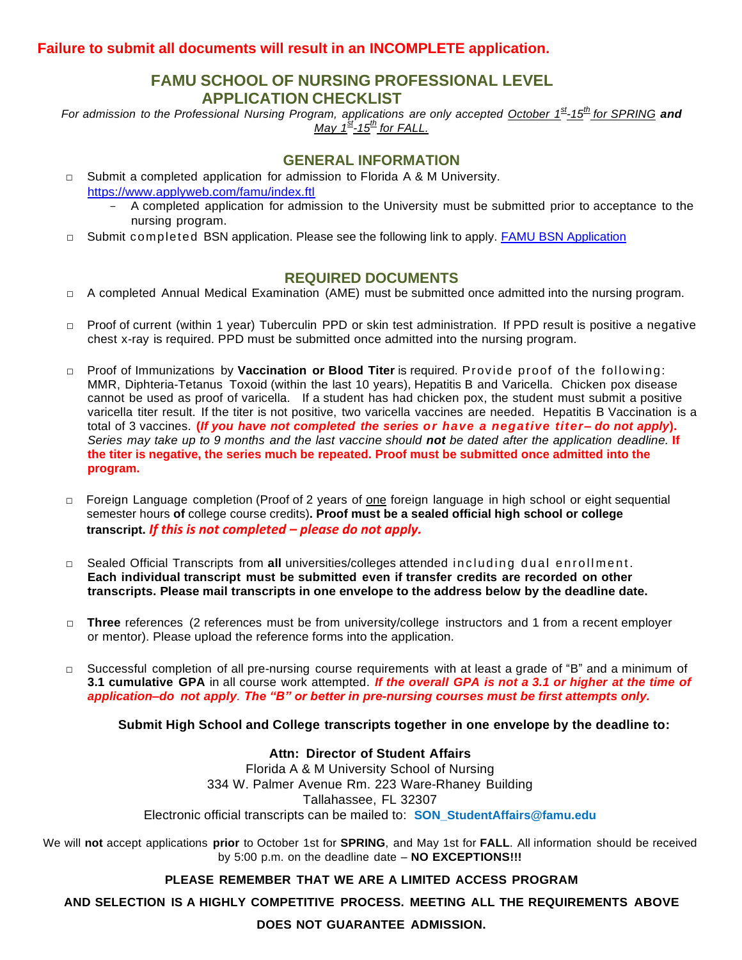### **Failure to submit all documents will result in an INCOMPLETE application.**

# **FAMU SCHOOL OF NURSING PROFESSIONAL LEVEL APPLICATION CHECKLIST**

For admission to the Professional Nursing Program, applications are only accepted October 1st-15<sup>th</sup> for SPRING</u> and *May 1 st -15th for FALL.*

## **GENERAL INFORMATION**

- $\Box$  Submit a completed application for admission to Florida A & M University. <https://www.applyweb.com/famu/index.ftl>
	- A completed application for admission to the University must be submitted prior to acceptance to the nursing program.
- □ Submit completed BSN application. Please see the following link to apply. [FAMU BSN Application](https://nam11.safelinks.protection.outlook.com/?url=http%3A%2F%2Ffamu.co1.qualtrics.com%2Fjfe%2Fform%2FSV_1X4J4PFpmhhG3T8&data=04%7C01%7C%7C649f640ee17347d0f95508d8f61fb8c8%7C2526db3cd5034dfea0e60c41a20b52d2%7C0%7C0%7C637529963396351843%7CUnknown%7CTWFpbGZsb3d8eyJWIjoiMC4wLjAwMDAiLCJQIjoiV2luMzIiLCJBTiI6Ik1haWwiLCJXVCI6Mn0%3D%7C1000&sdata=nzpVbNl8kZPuK4Xk6zhqTgUVFV8YOwi5xEbcMHGiRac%3D&reserved=0)

### **REQUIRED DOCUMENTS**

- $\Box$  A completed Annual Medical Examination (AME) must be submitted once admitted into the nursing program.
- □ Proof of current (within 1 year) Tuberculin PPD or skin test administration. If PPD result is positive a negative chest x-ray is required. PPD must be submitted once admitted into the nursing program.
- □ Proof of Immunizations by **Vaccination or Blood Titer** is required. Provide proof of the following: MMR, Diphteria-Tetanus Toxoid (within the last 10 years), Hepatitis B and Varicella. Chicken pox disease cannot be used as proof of varicella. If a student has had chicken pox, the student must submit a positive varicella titer result. If the titer is not positive, two varicella vaccines are needed. Hepatitis B Vaccination is a total of 3 vaccines. **(***If you have not completed the series or have a negative titer– do not apply***).** Series may take up to 9 months and the last vaccine should not be dated after the application deadline. If **the titer is negative, the series much be repeated. Proof must be submitted once admitted into the program.**
- □ Foreign Language completion (Proof of 2 years of one foreign language in high school or eight sequential semester hours **of** college course credits)**. Proof must be a sealed official high school or college transcript.** *If this is not completed – please do not apply.*
- □ Sealed Official Transcripts from **all** universities/colleges attended in cluding dual enrollment. **Each individual transcript must be submitted even if transfer credits are recorded on other transcripts. Please mail transcripts in one envelope to the address below by the deadline date.**
- □ **Three** references (2 references must be from university/college instructors and 1 from a recent employer or mentor). Please upload the reference forms into the application.
- □ Successful completion of all pre-nursing course requirements with at least a grade of "B" and a minimum of 3.1 cumulative GPA in all course work attempted. If the overall GPA is not a 3.1 or higher at the time of *application–do not apply. The "B" or better in pre-nursing courses must be first attempts only.*

#### **Submit High School and College transcripts together in one envelope by the deadline to:**

# **Attn: Director of Student Affairs**

Florida A & M University School of Nursing 334 W. Palmer Avenue Rm. 223 Ware-Rhaney Building Tallahassee, FL 32307 Electronic official transcripts can be mailed to: **SON\_StudentAffairs@famu.edu**

We will **not** accept applications **prior** to October 1st for **SPRING**, and May 1st for **FALL**. All information should be received by 5:00 p.m. on the deadline date – **NO EXCEPTIONS!!!**

#### **PLEASE REMEMBER THAT WE ARE A LIMITED ACCESS PROGRAM**

**AND SELECTION IS A HIGHLY COMPETITIVE PROCESS. MEETING ALL THE REQUIREMENTS ABOVE** 

**DOES NOT GUARANTEE ADMISSION.**